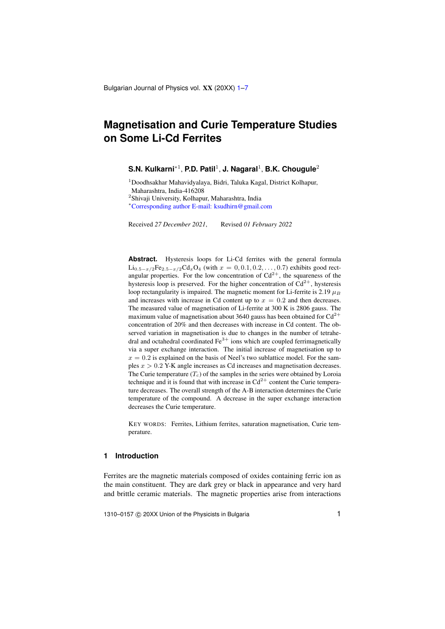Bulgarian Journal of Physics vol. XX (20XX) [1](#page-0-0)-7

# <span id="page-0-0"></span>**Magnetisation and Curie Temperature Studies on Some Li-Cd Ferrites**

## **S.N. Kulkarni**∗<sup>1</sup> , **P.D. Patil**<sup>1</sup> , **J. Nagaral**<sup>1</sup> , **B.K. Chougule**<sup>2</sup>

<sup>1</sup>Doodhsakhar Mahavidyalaya, Bidri, Taluka Kagal, District Kolhapur, Maharashtra, India-416208

2 Shivaji University, Kolhapur, Maharashtra, India

<sup>∗</sup>[Corresponding author E-mail: ksudhirn@gmail.com](mailto:ksudhirn@gmail.com)

Received *27 December 2021*, Revised *01 February 2022*

Abstract. Hysteresis loops for Li-Cd ferrites with the general formula  $Li_{0.5-x/2}Fe_{2.5-x/2}Cd_xO_4$  (with  $x = 0, 0.1, 0.2, ..., 0.7$ ) exhibits good rectangular properties. For the low concentration of  $Cd^{2+}$ , the squareness of the hysteresis loop is preserved. For the higher concentration of  $Cd^{2+}$ , hysteresis loop rectangularity is impaired. The magnetic moment for Li-ferrite is 2.19  $\mu_B$ and increases with increase in Cd content up to  $x = 0.2$  and then decreases. The measured value of magnetisation of Li-ferrite at 300 K is 2806 gauss. The maximum value of magnetisation about 3640 gauss has been obtained for  $Cd^{2+}$ concentration of 20% and then decreases with increase in Cd content. The observed variation in magnetisation is due to changes in the number of tetrahedral and octahedral coordinated  $Fe<sup>3+</sup>$  ions which are coupled ferrimagnetically via a super exchange interaction. The initial increase of magnetisation up to  $x = 0.2$  is explained on the basis of Neel's two sublattice model. For the samples  $x > 0.2$  Y-K angle increases as Cd increases and magnetisation decreases. The Curie temperature  $(T_c)$  of the samples in the series were obtained by Loroia technique and it is found that with increase in  $Cd^{2+}$  content the Curie temperature decreases. The overall strength of the A-B interaction determines the Curie temperature of the compound. A decrease in the super exchange interaction decreases the Curie temperature.

KEY WORDS: Ferrites, Lithium ferrites, saturation magnetisation, Curie temperature.

## **1 Introduction**

Ferrites are the magnetic materials composed of oxides containing ferric ion as the main constituent. They are dark grey or black in appearance and very hard and brittle ceramic materials. The magnetic properties arise from interactions

1310–0157 © 20XX Union of the Physicists in Bulgaria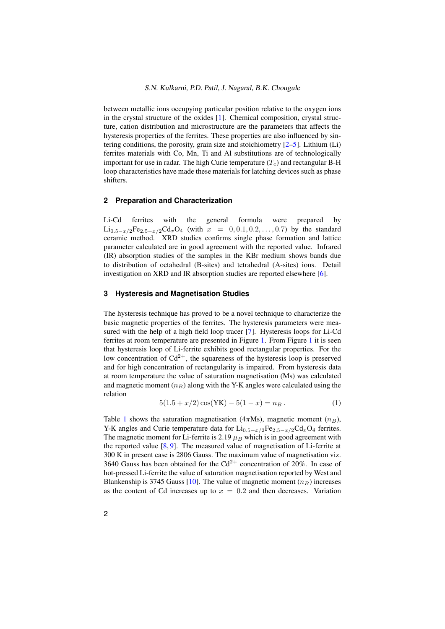between metallic ions occupying particular position relative to the oxygen ions in the crystal structure of the oxides [\[1\]](#page-5-1). Chemical composition, crystal structure, cation distribution and microstructure are the parameters that affects the hysteresis properties of the ferrites. These properties are also influenced by sintering conditions, the porosity, grain size and stoichiometry [\[2](#page-5-2)[–5\]](#page-5-3). Lithium (Li) ferrites materials with Co, Mn, Ti and Al substitutions are of technologically important for use in radar. The high Curie temperature  $(T_c)$  and rectangular B-H loop characteristics have made these materials for latching devices such as phase shifters.

### **2 Preparation and Characterization**

Li-Cd ferrites with the general formula were prepared by  $\text{Li}_{0.5-x/2}\text{Fe}_{2.5-x/2}\text{Cd}_x\text{O}_4$  (with  $x = 0, 0.1, 0.2, ..., 0.7$ ) by the standard ceramic method. XRD studies confirms single phase formation and lattice parameter calculated are in good agreement with the reported value. Infrared (IR) absorption studies of the samples in the KBr medium shows bands due to distribution of octahedral (B-sites) and tetrahedral (A-sites) ions. Detail investigation on XRD and IR absorption studies are reported elsewhere [\[6\]](#page-5-4).

#### **3 Hysteresis and Magnetisation Studies**

The hysteresis technique has proved to be a novel technique to characterize the basic magnetic properties of the ferrites. The hysteresis parameters were measured with the help of a high field loop tracer [\[7\]](#page-5-5). Hysteresis loops for Li-Cd ferrites at room temperature are presented in Figure [1.](#page-2-0) From Figure [1](#page-2-0) it is seen that hysteresis loop of Li-ferrite exhibits good rectangular properties. For the low concentration of  $Cd^{2+}$ , the squareness of the hysteresis loop is preserved and for high concentration of rectangularity is impaired. From hysteresis data at room temperature the value of saturation magnetisation (Ms) was calculated and magnetic moment  $(n_B)$  along with the Y-K angles were calculated using the relation

$$
5(1.5 + x/2)\cos(YK) - 5(1 - x) = n_B.
$$
 (1)

Table [1](#page-3-0) shows the saturation magnetisation (4 $\pi$ Ms), magnetic moment ( $n_B$ ), Y-K angles and Curie temperature data for  $Li_{0.5-x/2}Fe_{2.5-x/2}Cd_xO_4$  ferrites. The magnetic moment for Li-ferrite is 2.19  $\mu_B$  which is in good agreement with the reported value [\[8,](#page-5-6) [9\]](#page-5-7). The measured value of magnetisation of Li-ferrite at 300 K in present case is 2806 Gauss. The maximum value of magnetisation viz. 3640 Gauss has been obtained for the  $Cd^{2+}$  concentration of 20%. In case of hot-pressed Li-ferrite the value of saturation magnetisation reported by West and Blankenship is 3745 Gauss [\[10\]](#page-6-0). The value of magnetic moment  $(n_B)$  increases as the content of Cd increases up to  $x = 0.2$  and then decreases. Variation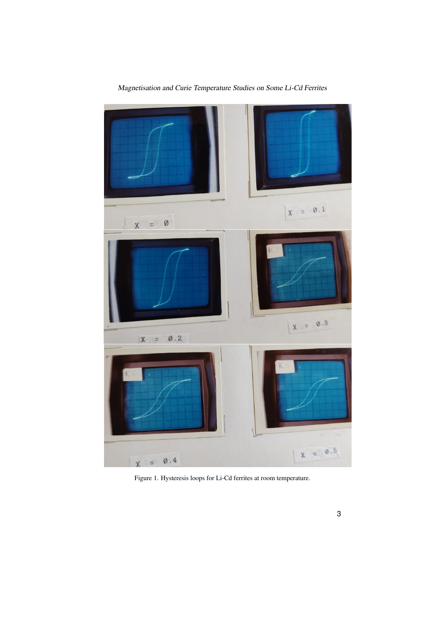

Magnetisation and Curie Temperature Studies on Some Li-Cd Ferrites

<span id="page-2-0"></span>Figure 1. Hysteresis loops for Li-Cd ferrites at room temperature.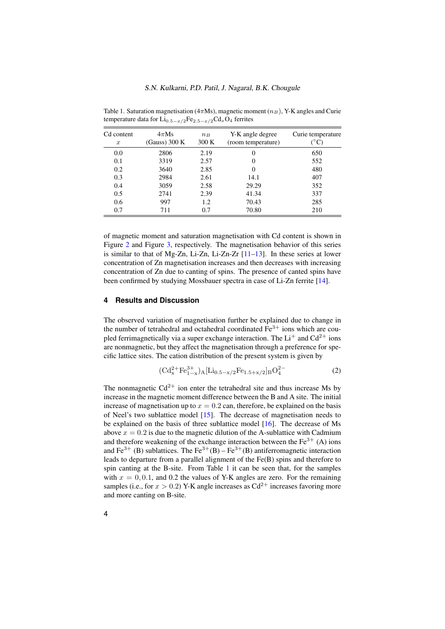| Cd content<br>$\boldsymbol{x}$ | $4\pi Ms$<br>$(Gauss)$ 300 K | $n_B$<br>300K | Y-K angle degree<br>(room temperature) | Curie temperature<br>$\rm ^{\circ} C)$ |
|--------------------------------|------------------------------|---------------|----------------------------------------|----------------------------------------|
| 0.0                            | 2806                         | 2.19          | 0                                      | 650                                    |
| 0.1                            | 3319                         | 2.57          | 0                                      | 552                                    |
| 0.2                            | 3640                         | 2.85          | 0                                      | 480                                    |
| 0.3                            | 2984                         | 2.61          | 14.1                                   | 407                                    |
| 0.4                            | 3059                         | 2.58          | 29.29                                  | 352                                    |
| 0.5                            | 2741                         | 2.39          | 41.34                                  | 337                                    |
| 0.6                            | 997                          | 1.2           | 70.43                                  | 285                                    |
| 0.7                            | 711                          | 0.7           | 70.80                                  | 210                                    |
|                                |                              |               |                                        |                                        |

<span id="page-3-0"></span>Table 1. Saturation magnetisation ( $4\pi Ms$ ), magnetic moment ( $n_B$ ), Y-K angles and Curie temperature data for  $Li_{0.5-x/2}Fe_{2.5-x/2}Cd_xO_4$  ferrites

of magnetic moment and saturation magnetisation with Cd content is shown in Figure [2](#page-4-0) and Figure [3,](#page-4-1) respectively. The magnetisation behavior of this series is similar to that of Mg-Zn, Li-Zn, Li-Zn-Zr  $[11-13]$  $[11-13]$ . In these series at lower concentration of Zn magnetisation increases and then decreases with increasing concentration of Zn due to canting of spins. The presence of canted spins have been confirmed by studying Mossbauer spectra in case of Li-Zn ferrite [\[14\]](#page-6-3).

# **4 Results and Discussion**

The observed variation of magnetisation further be explained due to change in the number of tetrahedral and octahedral coordinated  $Fe<sup>3+</sup>$  ions which are coupled ferrimagnetically via a super exchange interaction. The  $Li^+$  and  $Cd^{2+}$  ions are nonmagnetic, but they affect the magnetisation through a preference for specific lattice sites. The cation distribution of the present system is given by

<span id="page-3-1"></span>
$$
(\mathrm{Cd}_{x}^{2+} \mathrm{Fe}_{1-x}^{3+})_{A}[\mathrm{Li}_{0.5-x/2} \mathrm{Fe}_{1.5+x/2}]_{B}\mathrm{O}_{4}^{2-} \tag{2}
$$

The nonmagnetic  $Cd^{2+}$  ion enter the tetrahedral site and thus increase Ms by increase in the magnetic moment difference between the B and A site. The initial increase of magnetisation up to  $x = 0.2$  can, therefore, be explained on the basis of Neel's two sublattice model  $[15]$ . The decrease of magnetisation needs to be explained on the basis of three sublattice model [\[16\]](#page-6-5). The decrease of Ms above  $x = 0.2$  is due to the magnetic dilution of the A-sublattice with Cadmium and therefore weakening of the exchange interaction between the  $Fe<sup>3+</sup>$  (A) ions and Fe<sup>3+</sup> (B) sublattices. The Fe<sup>3+</sup>(B) – Fe<sup>3+</sup>(B) antiferromagnetic interaction leads to departure from a parallel alignment of the Fe(B) spins and therefore to spin canting at the B-site. From Table [1](#page-3-0) it can be seen that, for the samples with  $x = 0, 0.1$ , and 0.2 the values of Y-K angles are zero. For the remaining samples (i.e., for  $x > 0.2$ ) Y-K angle increases as Cd<sup>2+</sup> increases favoring more and more canting on B-site.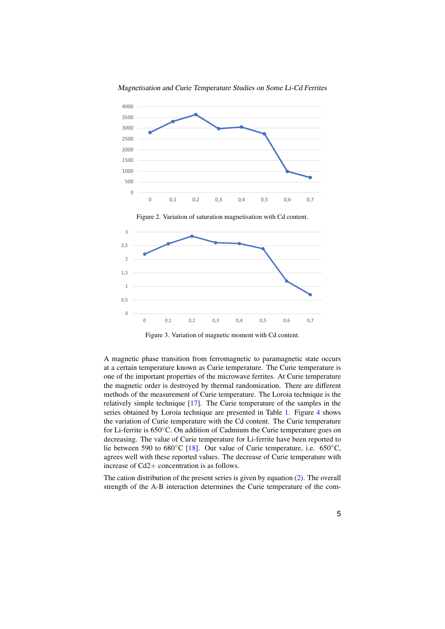

Magnetisation and Curie Temperature Studies on Some Li-Cd Ferrites

<span id="page-4-0"></span>

<span id="page-4-1"></span>Figure 3. Variation of magnetic moment with Cd content.

 $\frac{1}{2}$  $\mathfrak{u}$ decreasing. The value of Curie temperature for Li-ferrite have been reported to for Li-ferrite is 650°C. On addition of Cadmium the Curie temperature goes on the variation of Curie temperature with the Cd content. The Curie temperature lie between 590 to 680°C [\[18\]](#page-6-7). Our value of Curie temperature, i.e. 650°C, agrees well with these reported values. The decrease of Curie temperature with increase of Cd2+ concentration is as follows. methods of the measurement of Curie temperature. The Loroia technique is the relatively simple technique [\[17\]](#page-6-6). The Curie temperature of the samples in the  $\mathfrak{unc}$ the magnetic order is destroyed by thermal randomization. There are different agrees well with these reported values. The decrease of Curie temperature with y<br>bta<br>err increase of  $Cd2+$  concentration is as follows. A magnetic phase transition from ferromagnetic to paramagnetic state occurs at a certain temperature known as Curie temperature. The Curie temperature is one of the important properties of the microwave ferrites. At Curie temperature series obtained by Loroia technique are presented in Table [1.](#page-3-0) Figure [4](#page-5-8) shows

strength of the A-B interaction determines the Curie temperature of the com-The cation distribution of the present series is given by equation [\(2\)](#page-3-1). The overall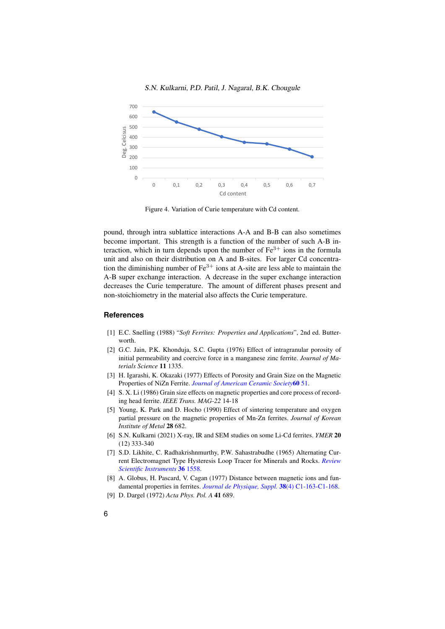

S.N. Kulkarni, P.D. Patil, J. Nagaral, B.K. Chougule

<span id="page-5-8"></span>Figure 4. Variation of Curie temperature with Cd content.

pound, through intra sublattice interactions A-A and B-B can also sometimes become important. This strength is a function of the number of such A-B interaction, which in turn depends upon the number of  $Fe<sup>3+</sup>$  ions in the formula unit and also on their distribution on A and B-sites. For larger Cd concentration the diminishing number of  $Fe^{3+}$  ions at A-site are less able to maintain the A-B super exchange interaction. A decrease in the super exchange interaction decreases the Curie temperature. The amount of different phases present and non-stoichiometry in the material also affects the Curie temperature.

#### <span id="page-5-0"></span>**References**

- <span id="page-5-1"></span>[1] E.C. Snelling (1988) "*Soft Ferrites: Properties and Applications*", 2nd ed. Butterworth.
- <span id="page-5-2"></span>[2] G.C. Jain, P.K. Khonduja, S.C. Gupta (1976) Effect of intragranular porosity of initial permeability and coercive force in a manganese zinc ferrite. *Journal of Materials Science* 11 1335.
- [3] H. Igarashi, K. Okazaki (1977) Effects of Porosity and Grain Size on the Magnetic Properties of NiZn Ferrite. *[Journal of American Ceramic Society](https://doi.org/10.1111/j.1151-2916.1977.tb16092.x)*60 51.
- [4] S. X. Li (1986) Grain size effects on magnetic properties and core process of recording head ferrite. *IEEE Trans. MAG-22* 14-18
- <span id="page-5-3"></span>[5] Young, K. Park and D. Hocho (1990) Effect of sintering temperature and oxygen partial pressure on the magnetic properties of Mn-Zn ferrites. *Journal of Korean Institute of Metal* 28 682.
- <span id="page-5-4"></span>[6] S.N. Kulkarni (2021) X-ray, IR and SEM studies on some Li-Cd ferrites. *YMER* 20 (12) 333-340
- <span id="page-5-5"></span>[7] S.D. Likhite, C. Radhakrishnmurthy, P.W. Sahastrabudhe (1965) Alternating Current Electromagnet Type Hysteresis Loop Tracer for Minerals and Rocks. *[Review](https://doi.org/10.1063/1.1719392) [Scientific Instruments](https://doi.org/10.1063/1.1719392)* 36 1558.
- <span id="page-5-6"></span>[8] A. Globus, H. Pascard, V. Cagan (1977) Distance between magnetic ions and fundamental properties in ferrites. *[Journal de Physique, Suppl.](https://doi.org/10.1051/jphyscol:1977132)* 38(4) C1-163-C1-168.
- <span id="page-5-7"></span>[9] D. Dargel (1972) *Acta Phys. Pol. A* 41 689.